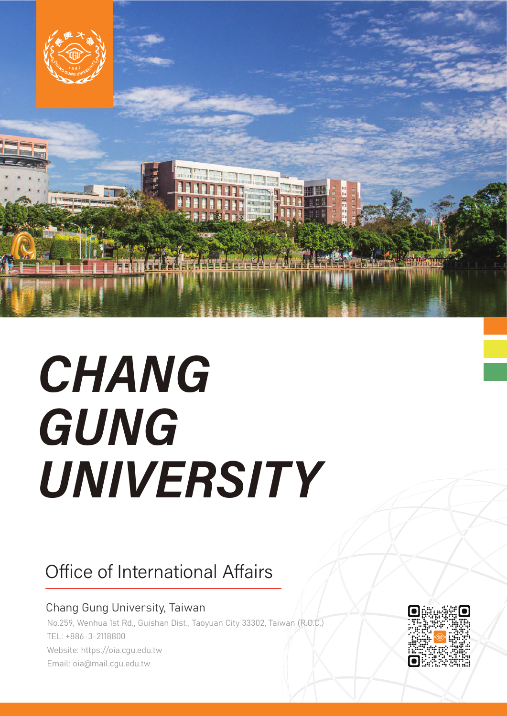

# CHANG GUNG UNIVERSITY

#### Office of International Affairs

#### Chang Gung University, Taiwan

No.259, Wenhua 1st Rd., Guishan Dist., Taoyuan City 33302, Taiwan (R.O.C.) TEL: +886-3-2118800 Website: https://oia.cgu.edu.tw Email: oia@mail.cgu.edu.tw

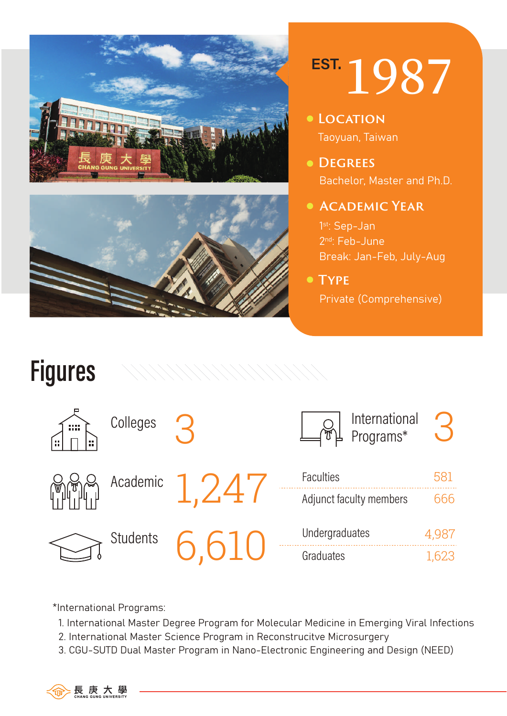



# EST. 1987

- Taoyuan, Taiwan **Location**
- Bachelor, Master and Ph.D. **Degrees**
- **Academic Year**

1<sup>st</sup>: Sep-Jan 2nd: Feb-June Break: Jan-Feb, July-Aug

**Type**

Private (Comprehensive)



\*International Programs:

- 1. International Master Degree Program for Molecular Medicine in Emerging Viral Infections
- 2. International Master Science Program in Reconstrucitve Microsurgery
- 3. CGU-SUTD Dual Master Program in Nano-Electronic Engineering and Design (NEED)

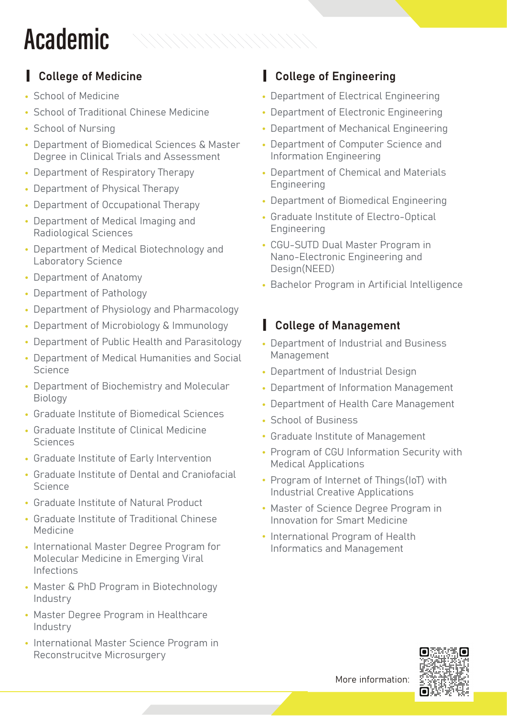## **Academic**

- School of Medicine
- School of Traditional Chinese Medicine
- School of Nursing
- Department of Biomedical Sciences & Master Degree in Clinical Trials and Assessment

////////////////////

- Department of Respiratory Therapy ˙
- Department of Physical Therapy ˙
- Department of Occupational Therapy ˙
- Department of Medical Imaging and ˙ Radiological Sciences
- Department of Medical Biotechnology and ˙ Laboratory Science
- Department of Anatomy ˙
- Department of Pathology ˙
- Department of Physiology and Pharmacology ˙
- Department of Microbiology & Immunology ˙
- Department of Public Health and Parasitology
- Department of Medical Humanities and Social ˙ Science
- Department of Biochemistry and Molecular ˙ Biology
- Graduate Institute of Biomedical Sciences ˙
- Graduate Institute of Clinical Medicine ˙ Sciences
- Graduate Institute of Early Intervention ˙
- Graduate Institute of Dental and Craniofacial ˙ Science
- Graduate Institute of Natural Product ˙
- Graduate Institute of Traditional Chinese ˙ Medicine
- International Master Degree Program for Molecular Medicine in Emerging Viral Infections
- Master & PhD Program in Biotechnology ˙ Industry
- Master Degree Program in Healthcare ˙ Industry
- International Master Science Program in Reconstrucitve Microsurgery

#### ▎College of Medicine ▎College of Engineering

- ˙ Department of Electrical Engineering
- ˙ Department of Electronic Engineering
- ˙ Department of Mechanical Engineering
- ˙ Department of Computer Science and Information Engineering
- ˙ Department of Chemical and Materials Engineering
- ˙ Department of Biomedical Engineering
- ˙ Graduate Institute of Electro-Optical Engineering
- ˙ CGU-SUTD Dual Master Program in Nano-Electronic Engineering and Design(NEED)
- ˙ Bachelor Program in Artificial Intelligence

#### ▎College of Management

- ˙ Department of Industrial and Business Management
- ˙ Department of Industrial Design
- ˙ Department of Information Management
- ˙ Department of Health Care Management
- ˙ School of Business
- ˙ Graduate Institute of Management
- ˙ Program of CGU Information Security with Medical Applications
- ˙ Program of Internet of Things(IoT) with Industrial Creative Applications
- ˙ Master of Science Degree Program in Innovation for Smart Medicine
- ˙ International Program of Health Informatics and Management